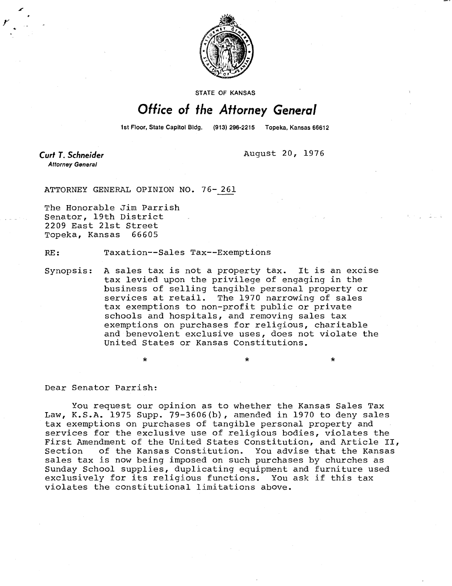

**STATE OF KANSAS** 

## Office of the Attorney General

1st Floor, State Capitol Bldg. (913) 296-2215 Topeka, Kansas 66612

Curt T. Schneider **Attorney General** 

August 20, 1976

ATTORNEY GENERAL OPINION NO. 76-261

The Honorable Jim Parrish Senator, 19th District 2209 East 21st Street Topeka, Kansas 66605

RE: Taxation--Sales Tax--Exemptions

Synopsis: A sales tax is not a property tax. It is an excise tax levied upon the privilege of engaging in the business of selling tangible personal property or services at retail. The 1970 narrowing of sales tax exemptions to non-profit public or private schools and hospitals, and removing sales tax exemptions on purchases for religious, charitable and benevolent exclusive uses, does not violate the United States or Kansas Constitutions.

Dear Senator Parrish:

You request our opinion as to whether the Kansas Sales Tax Law, K.S.A. 1975 Supp. 79-3606(b), amended in 1970 to deny sales tax exemptions on purchases of tangible personal property and services for the exclusive use of religious bodies, violates the First Amendment of the United States Constitution, and Article II, Section of the Kansas Constitution. You advise that the Kansas sales tax is now being imposed on such purchases by churches as Sunday School supplies, duplicating equipment and furniture used exclusively for its religious functions. You ask if this tax violates the constitutional limitations above.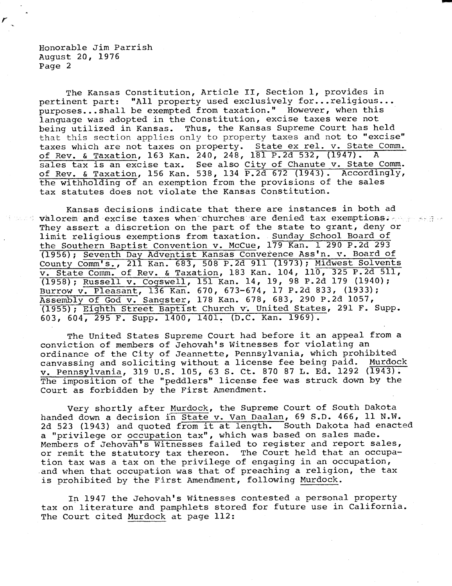Honorable Jim Parrish August 20, 1976 Page 2

The Kansas Constitution, Article II, Section 1, provides in pertinent part: "All property used exclusively for...religious... purposes...shall be exempted from taxation." However, when this language was adopted in the Constitution, excise taxes were not being utilized in Kansas. Thus, the Kansas Supreme Court has held that this section applies only to property taxes and not to "excise" taxes which are not taxes on property. State ex rel. v. State Comm. of Rev. & Taxation, 163 Kan. 240, 248, 181 P.2d 532, (1947). A sales tax is an excise tax. See also City of Chanute v. State Comm. of Rev. & Taxation, 156 Kan. 538, 134 P.2d 672 (1943). Accordingly, the withholding of an exemption from the provisions of the sales tax statutes does not violate the Kansas Constitution.

Kansas decisions indicate that there are instances in both ad was valorem and excise taxes when churches are denied tax exemptions.  $\gamma$  and  $\gamma$  They assert a discretion on the part of the state to grant, deny or limit religious exemptions from taxation. Sunday School Board of the Southern Baptist Convention v. McCue, 179 Kan. 1 290 P.2d 293 (1956); Seventh Day Adventist Kansas Converence Ass'n. v. Board of County Comm's., 211 Kan. 683, 508 P.2d 911 (1973); Midwest Solvents v. State Comm. of Rev. & Taxation, 183 Kan. 104, 110, 325 P.2d 511, (1958); Russell v. Cogswell, 151 Kan. 14, 19, 98 P.2d 179 (1940); Burrow v. Pleasant, 136 Kan. 670, 673-674, 17 P.2d 833, (1933); Assembly of God v. Sangster, 178 Kan. 678, 683, 290 P.2d 1057, (1955); Eighth Street Baptist Church v. United States, 291 F. Supp. 603, 604, 295 F. Supp. 1400, 1401. (D.C. Kan. 1969).

The United States Supreme Court had before it an appeal from a conviction of members of Jehovah's Witnesses for violating an ordinance of the City of Jeannette, Pennsylvania, which prohibited canvassing and soliciting without a license fee being paid. Murdock v. Pennsylvania, 319 U.S. 105, 63 S. Ct. 870 87 L. Ed. 1292 (1943). The imposition of the "peddlers" license fee was struck down by the Court as forbidden by the First Amendment.

Very shortly after Murdock, the Supreme Court of South Dakota handed down a decision in State v. Van Daalan, 69 S.D. 466, 11 N.W. 2d 523 (1943) and quoted from it at length. South Dakota had enacted a "privilege or occupation tax", which was based on sales made. Members of Jehovah's Witnesses failed to register and report sales, or remit the statutory tax thereon. The Court held that an occupation tax was a tax on the privilege of engaging in an occupation, and when that occupation was that of preaching a religion, the tax is prohibited by the First Amendment, following Murdock.

In 1947 the Jehovah's Witnesses contested a personal property tax on literature and pamphlets stored for future use in California. The Court cited Murdock at page 112: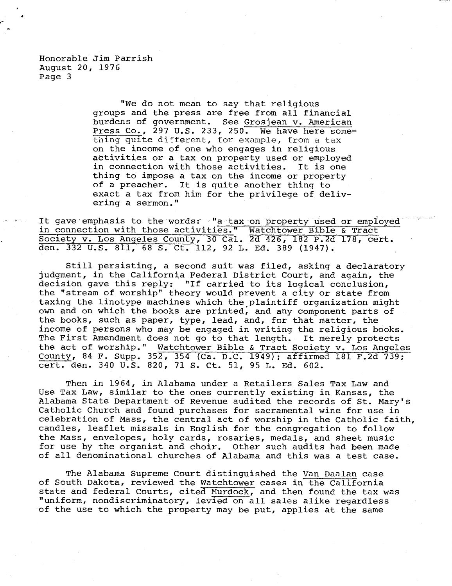Honorable Jim Parrish August 20, 1976 Page 3

> "We do not mean to say that religious groups and the press are free from all financial burdens of government. See Grosjean v. American Press Co., 297 U.S. 233, 250. We have here something quite different, for example, from a tax on the income of one who engages in religious activities or a tax on property used or employed in connection with those activities. It is one thing to impose a tax on the income or property of a preacher. It is quite another thing to exact a tax from him for the privilege of delivering a sermon."

It gave emphasis to the words: "a tax on property used or employed in connection with those activities." Watchtower Bible & Tract Society v. Los Angeles County, 30 Cal. 2d 426, 182 P.2d 178, cert. den. 332 U.S. 811, 68 S. Ct. 112, 92 L. Ed. 389 (1947).

Still persisting, a second suit was filed, asking a declaratory judgment, in the California Federal District Court, and again, the decision gave this reply: "If carried to its logical conclusion, the "stream of worship" theory would prevent a city or state from taxing the linotype machines which the plaintiff organization might own and on which the books are printed, and any component parts of the books, such as paper, type, lead, and, for that matter, the income of persons who may be engaged in writing the religious books. The First Amendment does not go to that length. It merely protects the act of worship." Watchtower Bible & Tract Society v. Los Angeles County, 84 F. Supp. 352, 354 (Ca. D.C. 1949); affirmed 181 F.2d 739; cert. den. 340 U.S. 820, 71 S. Ct. 51, 95 L. Ed. 602.

Then in 1964, in Alabama under a Retailers Sales Tax Law and Use Tax Law, similar to the ones currently existing in Kansas, the Alabama State Department of Revenue audited the records of St. Mary's Catholic Church and found purchases for sacramental wine for use in celebration of Mass, the central act of worship in the Catholic faith, candles, leaflet missals in English for the congregation to follow the Mass, envelopes, holy cards, rosaries, medals, and sheet music for use by the organist and choir. Other such audits had been made of all denominational churches of Alabama and this was a test case.

The Alabama Supreme Court distinguished the Van Daalan case of South Dakota, reviewed the Watchtower cases in the California state and federal Courts, cited Murdock, and then found the tax was "uniform, nondiscriminatory, levied on all sales alike regardless of the use to which the property may be put, applies at the same